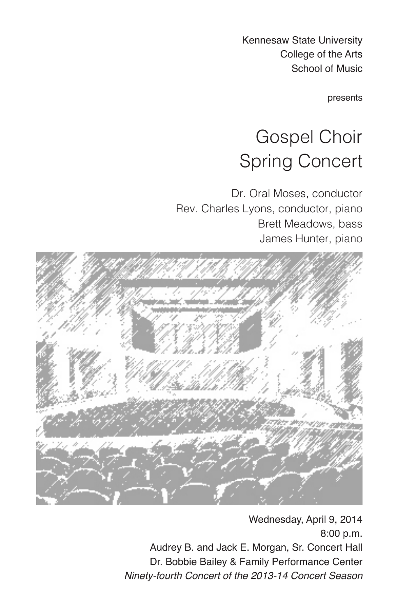Kennesaw State University College of the Arts School of Music

presents

# Gospel Choir Spring Concert

Dr. Oral Moses, conductor Rev. Charles Lyons, conductor, piano Brett Meadows, bass James Hunter, piano



Wednesday, April 9, 2014 8:00 p.m. Audrey B. and Jack E. Morgan, Sr. Concert Hall Dr. Bobbie Bailey & Family Performance Center *Ninety-fourth Concert of the 2013-14 Concert Season*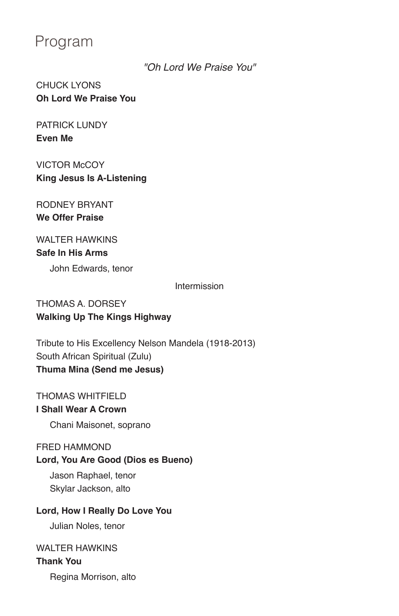# Program

*"Oh Lord We Praise You"*

CHUCK LYONS **Oh Lord We Praise You** 

PATRICK LUNDY **Even Me** 

**VICTOR McCOY King Jesus Is A-Listening**

RODNEY BRYANT **We Offer Praise**

# WAI TFR HAWKINS **Safe In His Arms**

John Edwards, tenor

Intermission

# THOMAS A. DORSEY **Walking Up The Kings Highway**

Tribute to His Excellency Nelson Mandela (1918-2013) South African Spiritual (Zulu) **Thuma Mina (Send me Jesus)**

#### THOMAS WHITFIELD **I Shall Wear A Crown**

Chani Maisonet, soprano

## FRED HAMMOND

#### **Lord, You Are Good (Dios es Bueno)**

Jason Raphael, tenor Skylar Jackson, alto

## **Lord, How I Really Do Love You**

Julian Noles, tenor

#### WAI TFR HAWKINS

# **Thank You**

Regina Morrison, alto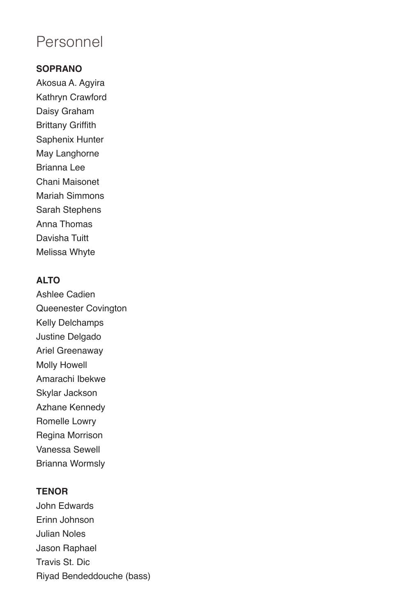# Personnel

### **SOPRANO**

Akosua A. Agyira Kathryn Crawford Daisy Graham Brittany Griffith Saphenix Hunter May Langhorne Brianna Lee Chani Maisonet Mariah Simmons Sarah Stephens Anna Thomas Davisha Tuitt Melissa Whyte

# **ALTO**

Ashlee Cadien Queenester Covington Kelly Delchamps Justine Delgado Ariel Greenaway Molly Howell Amarachi Ibekwe Skylar Jackson Azhane Kennedy Romelle Lowry Regina Morrison Vanessa Sewell Brianna Wormsly

#### **TENOR**

John Edwards Erinn Johnson Julian Noles Jason Raphael Travis St. Dic Riyad Bendeddouche (bass)